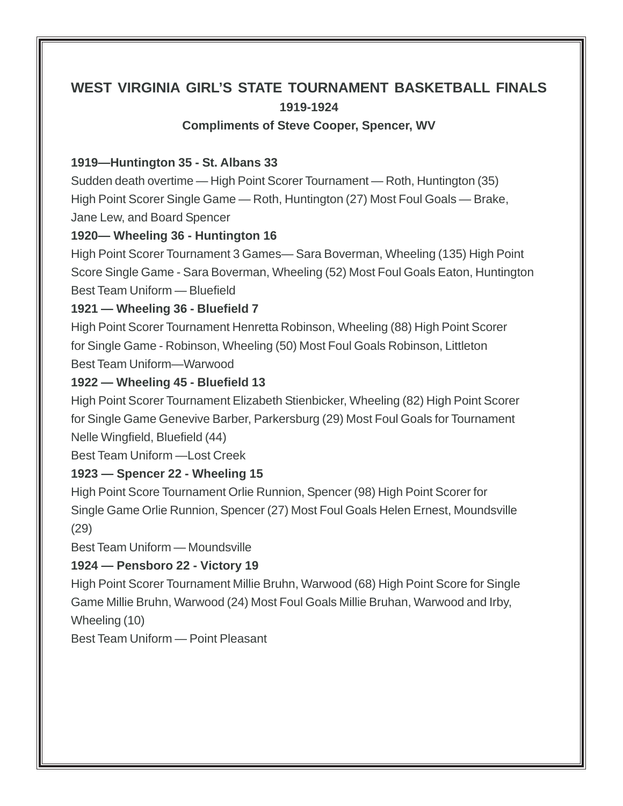# **WEST VIRGINIA GIRL'S STATE TOURNAMENT BASKETBALL FINALS 1919-1924**

**Compliments of Steve Cooper, Spencer, WV**

#### **1919—Huntington 35 - St. Albans 33**

Sudden death overtime — High Point Scorer Tournament — Roth, Huntington (35) High Point Scorer Single Game — Roth, Huntington (27) Most Foul Goals — Brake, Jane Lew, and Board Spencer

### **1920— Wheeling 36 - Huntington 16**

High Point Scorer Tournament 3 Games— Sara Boverman, Wheeling (135) High Point Score Single Game - Sara Boverman, Wheeling (52) Most Foul Goals Eaton, Huntington Best Team Uniform — Bluefield

#### **1921 — Wheeling 36 - Bluefield 7**

High Point Scorer Tournament Henretta Robinson, Wheeling (88) High Point Scorer for Single Game - Robinson, Wheeling (50) Most Foul Goals Robinson, Littleton Best Team Uniform—Warwood

#### **1922 — Wheeling 45 - Bluefield 13**

High Point Scorer Tournament Elizabeth Stienbicker, Wheeling (82) High Point Scorer for Single Game Genevive Barber, Parkersburg (29) Most Foul Goals for Tournament Nelle Wingfield, Bluefield (44)

Best Team Uniform — Lost Creek

### **1923 — Spencer 22 - Wheeling 15**

High Point Score Tournament Orlie Runnion, Spencer (98) High Point Scorer for Single Game Orlie Runnion, Spencer (27) Most Foul Goals Helen Ernest, Moundsville (29)

Best Team Uniform — Moundsville

## **1924 — Pensboro 22 - Victory 19**

High Point Scorer Tournament Millie Bruhn, Warwood (68) High Point Score for Single Game Millie Bruhn, Warwood (24) Most Foul Goals Millie Bruhan, Warwood and Irby, Wheeling (10)

Best Team Uniform — Point Pleasant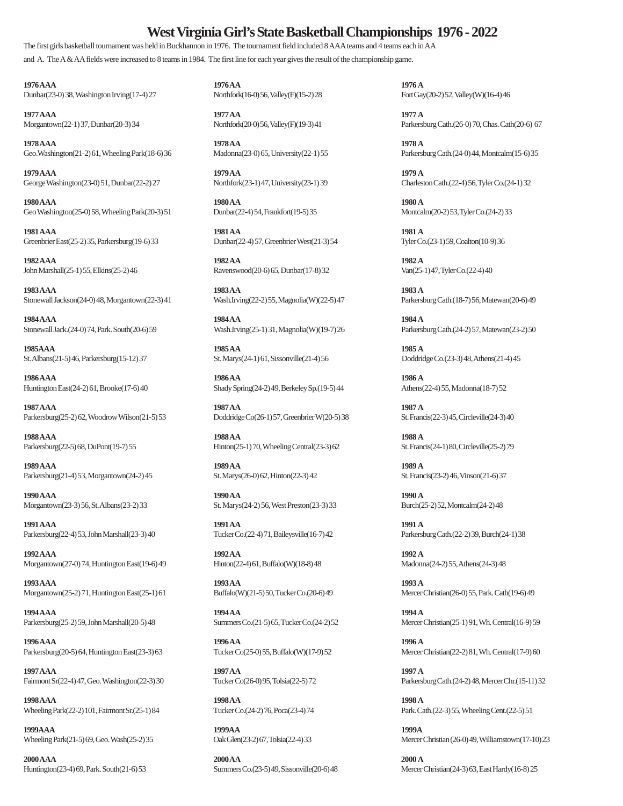#### **West Virginia Girl's State Basketball Championships 1976 - 2022**

The first girls basketball tournament was held in Buckhannon in 1976. The tournament field included 8 AAA teams and 4 teams each in AA and A. The A & AA fields were increased to 8 teams in 1984. The first line for each year gives the result of the championship game.

**1976 AAA 1976 AA 1976 A** Dunbar(23-0) 38, Washington Irving(17-4) 27 Northfork(16-0) 56, Valley(F)(15-2) 28 Fort Gay(20-2) 52, Valley(W)(16-4) 46

**1977 AAA 1977 AA 1977 A**

**1978 AAA 1978 AA 1978 A** Geo.Washington(21-2) 61, Wheeling Park(18-6) 36 Madonna(23-0) 65, University(22-1) 55 Parkersburg Cath.(24-0) 44, Montcalm(15-6) 35

**1979 AAA 1979 AA 1979 A** George Washington(23-0) 51, Dunbar(22-2) 27 Northfork(23-1) 47, University(23-1) 39 Charleston Cath.(22-4) 56, Tyler Co.(24-1) 32

**1980 AAA 1980 AA 1980 A** Geo Washington(25-0) 58, Wheeling Park(20-3) 51 Dunbar(22-4) 54, Frankfort(19-5) 35 Montcalm(20-2) 53, Tyler Co.(24-2) 33

**1981 AAA 1981 AA 1981 A** Greenbrier East(25-2) 35, Parkersburg(19-6) 33 Dunbar(22-4) 57, Greenbrier West(21-3) 54 Tyler Co.(23-1) 59, Coalton(10-9) 36

**1982 AAA 1982 AA 1982 A** John Marshall(25-1) 55, Elkins(25-2) 46 Ravenswood(20-6) 65, Dunbar(17-8) 32 Van(25-1) 47, Tyler Co.(22-4) 40

**1983 AAA 1983 AA 1983 A** Stonewall Jackson(24-0) 48, Morgantown(22-3) 41 Wash.Irving(22-2) 55, Magnolia(W)(22-5) 47 Parkersburg Cath.(18-7) 56, Matewan(20-6) 49

**1984 AAA 1984 AA 1984 A** Stonewall Jack.(24-0) 74, Park. South(20-6) 59 Wash.Irving(25-1) 31, Magnolia(W)(19-7) 26 Parkersburg Cath.(24-2) 57, Matewan(23-2) 50

**1985AAA 1985 AA 1985 A** St. Albans(21-5) 46, Parkersburg(15-12) 37 St. Marys(24-1) 61, Sissonville(21-4) 56 Doddridge Co.(23-3) 48, Athens(21-4) 45

**1987 AAA 1987 AA 1987 A** Parkersburg(25-2) 62, Woodrow Wilson(21-5) 53 Doddridge Co(26-1) 57, Greenbrier W(20-5) 38 St. Francis(22-3) 45, Circleville(24-3) 40

**1989 AAA 1989 AA 1989 A** Parkersburg(21-4) 53, Morgantown(24-2) 45 St. Marys(26-0) 62, Hinton(22-3) 42 St. Francis(23-2) 46, Vinson(21-6) 37

**1990 AAA 1990 AA 1990 A** Morgantown(23-3) 56, St. Albans(23-2) 33 St. Marys(24-2) 56, West Preston(23-3) 33 Burch(25-2) 52, Montcalm(24-2) 48

**1991 AAA 1991 AA 1991 A** Parkersburg(22-4) 53, John Marshall(23-3) 40 Tucker Co.(22-4) 71, Baileysville(16-7) 42 Parkersburg Cath.(22-2) 39, Burch(24-1) 38

**1992 AAA 1992 AA 1992 A** Morgantown(27-0) 74, Huntington East(19-6) 49 Hinton(22-4) 61, Buffalo(W)(18-8) 48 Madonna(24-2) 55, Athens(24-3) 48

**1993 AAA 1993 AA 1993 A** Morgantown(25-2) 71, Huntington East(25-1) 61 Buffalo(W)(21-5) 50, Tucker Co.(20-6) 49 Mercer Christian(26-0) 55, Park. Cath(19-6) 49

**1994 AAA 1994 AA 1994 A**

**1996 AAA 1996 AA 1996 A**

**1997 AAA 1997 AA 1997 A**

**1998 AAA 1998 AA 1998 A** Wheeling Park(22-2) 101, Fairmont Sr.(25-1) 84 Tucker Co.(24-2) 76, Poca(23-4) 74 Park. Cath.(22-3) 55, Wheeling Cent.(22-5) 51

**1999AAA 1999AA 1999A**

**2000 AAA** 2000 AA 2000 AA 2000 AA 2000 A

**1986 AAA 1986 AA 1986 A** Huntington East(24-2) 61, Brooke(17-6) 40 Shady Spring(24-2) 49, Berkeley Sp.(19-5) 44 Athens(22-4) 55, Madonna(18-7) 52

**1988 AAA 1988 AA 1988 A** Parkersburg(22-5) 68, DuPont(19-7) 55 Hinton(25-1) 70, Wheeling Central(23-3) 62 St. Francis(24-1) 80, Circleville(25-2) 79

Morgantown(22-1) 37, Dunbar(20-3) 34 Northfork(20-0) 56, Valley(F)(19-3) 41 Parkersburg Cath.(26-0) 70, Chas. Cath(20-6) 67

Parkersburg(25-2) 59, John Marshall(20-5) 48 Summers Co.(21-5) 65, Tucker Co.(24-2) 52 Mercer Christian(25-1) 91, Wh. Central(16-9) 59

Parkersburg(20-5) 64, Huntington East(23-3) 63 Tucker Co(25-0) 55, Buffalo(W)(17-9) 52 Mercer Christian(22-2) 81, Wh. Central(17-9) 60

Fairmont Sr(22-4) 47, Geo. Washington(22-3) 30 Tucker Co(26-0) 95, Tolsia(22-5) 72 Parkersburg Cath.(24-2) 48, Mercer Chr.(15-11) 32

Wheeling Park(21-5) 69, Geo. Wash(25-2) 35 Oak Glen(23-2) 67, Tolsia(22-4) 33 Mercer Christian (26-0) 49, Williamstown(17-10) 23

Huntington(23-4) 69, Park. South(21-6) 53 Summers Co.(23-5) 49, Sissonville(20-6) 48 Mercer Christian(24-3) 63, East Hardy(16-8) 25